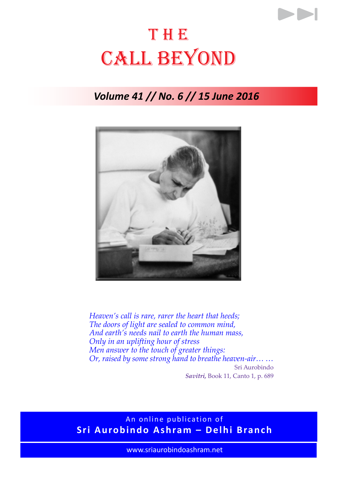# T H E CALL BEYOND

## *Volume 41 // No. 6 // 15 June 2016*



*Heaven's call is rare, rarer the heart that heeds; The doors of light are sealed to common mind, And earth's needs nail to earth the human mass, Only in an uplifting hour of stress Men answer to the touch of greater things: Or, raised by some strong hand to breathe heaven-air… …* Sri Aurobindo *Savitri,* Book 11, Canto 1, p. 689

An online publication of **Sri Aurobindo Ashram – Delhi Branch**

[www.sriaurobindoashram.net](http://sriaurobindoashram.net/)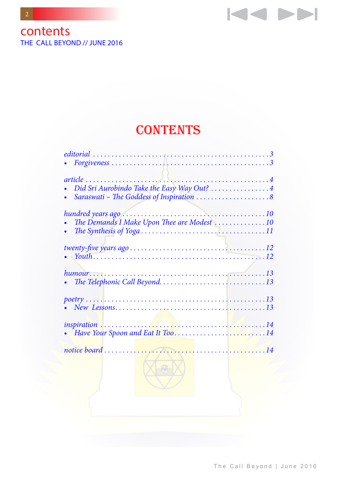# **KKA DDI**

contents THE CALL BEYOND // JUNE 2016

## CONTENTS

| Did Sri Aurobindo Take the Easy Way Out? 4 |  |
|--------------------------------------------|--|
| The Demands I Make Upon Thee are Modest 10 |  |
|                                            |  |
|                                            |  |
|                                            |  |
|                                            |  |
|                                            |  |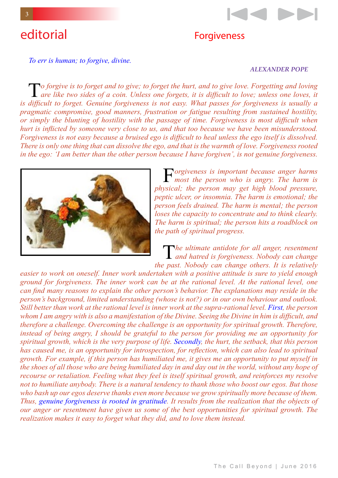# **IGN**

## editorial

<span id="page-2-0"></span>3

### Forgiveness

*To err is human; to forgive, divine.*

#### *ALEXANDER POPE*

To forgive is to forget and to give; to forget the hurt, and to give love. Forgetting and loving are like two sides of a coin. Unless one forgets, it is difficult to love; unless one loves, it *is difficult to forget. Genuine forgiveness is not easy. What passes for forgiveness is usually a pragmatic compromise, good manners, frustration or fatigue resulting from sustained hostility, or simply the blunting of hostility with the passage of time. Forgiveness is most difficult when hurt is inflicted by someone very close to us, and that too because we have been misunderstood. Forgiveness is not easy because a bruised ego is difficult to heal unless the ego itself is dissolved. There is only one thing that can dissolve the ego, and that is the warmth of love. Forgiveness rooted in the ego: 'I am better than the other person because I have forgiven', is not genuine forgiveness.*



F*orgiveness is important because anger harms most the person who is angry. The harm is physical; the person may get high blood pressure, peptic ulcer, or insomnia. The harm is emotional; the person feels drained. The harm is mental; the person loses the capacity to concentrate and to think clearly. The harm is spiritual; the person hits a roadblock on the path of spiritual progress.*

T*he ultimate antidote for all anger, resentment and hatred is forgiveness. Nobody can change the past. Nobody can change others. It is relatively* 

*easier to work on oneself. Inner work undertaken with a positive attitude is sure to yield enough ground for forgiveness. The inner work can be at the rational level. At the rational level, one can find many reasons to explain the other person's behavior. The explanations may reside in the person's background, limited understanding (whose is not?) or in our own behaviour and outlook. Still better than work at the rational level is inner work at the supra-rational level. First, the person whom I am angry with is also a manifestation of the Divine. Seeing the Divine in him is difficult, and therefore a challenge. Overcoming the challenge is an opportunity for spiritual growth. Therefore, instead of being angry, I should be grateful to the person for providing me an opportunity for spiritual growth, which is the very purpose of life. Secondly, the hurt, the setback, that this person has caused me, is an opportunity for introspection, for reflection, which can also lead to spiritual growth. For example, if this person has humiliated me, it gives me an opportunity to put myself in the shoes of all those who are being humiliated day in and day out in the world, without any hope of recourse or retaliation. Feeling what they feel is itself spiritual growth, and reinforces my resolve not to humiliate anybody. There is a natural tendency to thank those who boost our egos. But those who bash up our egos deserve thanks even more because we grow spiritually more because of them. Thus, genuine forgiveness is rooted in gratitude. It results from the realization that the objects of our anger or resentment have given us some of the best opportunities for spiritual growth. The realization makes it easy to forget what they did, and to love them instead.*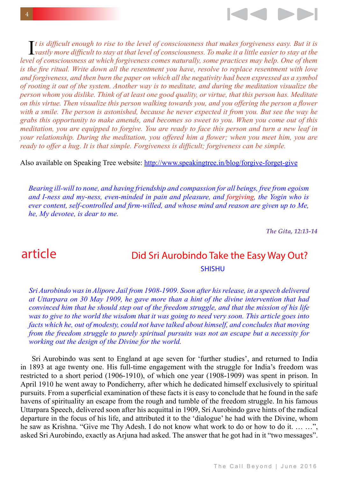

<span id="page-3-0"></span>It is difficult enough to rise to the level of consciousness that makes forgiveness easy. But it is<br>vastly more difficult to stay at that level of consciousness. To make it a little easier to stay at the *t is difficult enough to rise to the level of consciousness that makes forgiveness easy. But it is level of consciousness at which forgiveness comes naturally, some practices may help. One of them is the fire ritual. Write down all the resentment you have, resolve to replace resentment with love and forgiveness, and then burn the paper on which all the negativity had been expressed as a symbol of rooting it out of the system. Another way is to meditate, and during the meditation visualize the person whom you dislike. Think of at least one good quality, or virtue, that this person has. Meditate on this virtue. Then visualize this person walking towards you, and you offering the person a flower with a smile. The person is astonished, because he never expected it from you. But see the way he grabs this opportunity to make amends, and becomes so sweet to you. When you come out of this meditation, you are equipped to forgive. You are ready to face this person and turn a new leaf in your relationship. During the meditation, you offered him a flower; when you meet him, you are ready to offer a hug. It is that simple. Forgiveness is difficult; forgiveness can be simple.*

Also available on Speaking Tree website:<http://www.speakingtree.in/blog/forgive-forget-give>

*Bearing ill-will to none, and having friendship and compassion for all beings, free from egoism and I-ness and my-ness, even-minded in pain and pleasure, and forgiving, the Yogin who is ever content, self-controlled and firm-willed, and whose mind and reason are given up to Me, he, My devotee, is dear to me.*

*The Gita, 12:13-14*

## article **Did Sri Aurobindo Take the Easy Way Out?** SHISHU

*Sri Aurobindo was in Alipore Jail from 1908-1909. Soon after his release, in a speech delivered at Uttarpara on 30 May 1909, he gave more than a hint of the divine intervention that had convinced him that he should step out of the freedom struggle, and that the mission of his life was to give to the world the wisdom that it was going to need very soon. This article goes into facts which he, out of modesty, could not have talked about himself, and concludes that moving from the freedom struggle to purely spiritual pursuits was not an escape but a necessity for working out the design of the Divine for the world.*

Sri Aurobindo was sent to England at age seven for 'further studies', and returned to India in 1893 at age twenty one. His full-time engagement with the struggle for India's freedom was restricted to a short period (1906-1910), of which one year (1908-1909) was spent in prison. In April 1910 he went away to Pondicherry, after which he dedicated himself exclusively to spiritual pursuits. From a superficial examination of these facts it is easy to conclude that he found in the safe havens of spirituality an escape from the rough and tumble of the freedom struggle. In his famous Uttarpara Speech, delivered soon after his acquittal in 1909, Sri Aurobindo gave hints of the radical departure in the focus of his life, and attributed it to the 'dialogue' he had with the Divine, whom he saw as Krishna. "Give me Thy Adesh. I do not know what work to do or how to do it. … …", asked Sri Aurobindo, exactly as Arjuna had asked. The answer that he got had in it "two messages".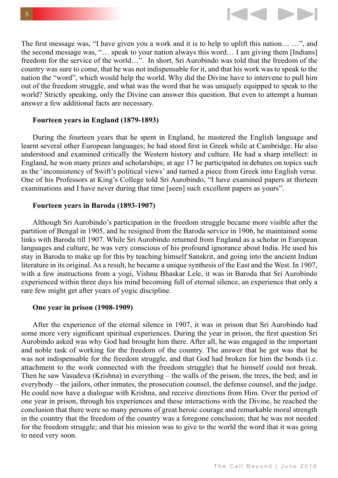

The first message was, "I have given you a work and it is to help to uplift this nation… …", and the second message was, "… speak to your nation always this word… I am giving them [Indians] freedom for the service of the world…". In short, Sri Aurobindo was told that the freedom of the country was sure to come, that he was not indispensable for it, and that his work was to speak to the nation the "word", which would help the world. Why did the Divine have to intervene to pull him out of the freedom struggle, and what was the word that he was uniquely equipped to speak to the world? Strictly speaking, only the Divine can answer this question. But even to attempt a human answer a few additional facts are necessary.

#### **Fourteen years in England (1879-1893)**

During the fourteen years that he spent in England, he mastered the English language and learnt several other European languages; he had stood first in Greek while at Cambridge. He also understood and examined critically the Western history and culture. He had a sharp intellect: in England, he won many prizes and scholarships; at age 17 he participated in debates on topics such as the 'inconsistency of Swift's political views' and turned a piece from Greek into English verse. One of his Professors at King's College told Sri Aurobindo, "I have examined papers at thirteen examinations and I have never during that time [seen] such excellent papers as yours".

#### **Fourteen years in Baroda (1893-1907)**

Although Sri Aurobindo's participation in the freedom struggle became more visible after the partition of Bengal in 1905, and he resigned from the Baroda service in 1906, he maintained some links with Baroda till 1907. While Sri Aurobindo returned from England as a scholar in European languages and culture, he was very conscious of his profound ignorance about India. He used his stay in Baroda to make up for this by teaching himself Sanskrit, and going into the ancient Indian literature in its original. As a result, he became a unique synthesis of the East and the West. In 1907, with a few instructions from a yogi, Vishnu Bhaskar Lele, it was in Baroda that Sri Aurobindo experienced within three days his mind becoming full of eternal silence, an experience that only a rare few might get after years of yogic discipline.

#### **One year in prison (1908-1909)**

After the experience of the eternal silence in 1907, it was in prison that Sri Aurobindo had some more very significant spiritual experiences. During the year in prison, the first question Sri Aurobindo asked was why God had brought him there. After all, he was engaged in the important and noble task of working for the freedom of the country. The answer that he got was that he was not indispensable for the freedom struggle, and that God had broken for him the bonds (i.e. attachment to the work connected with the freedom struggle) that he himself could not break. Then he saw Vasudeva (Krishna) in everything – the walls of the prison, the trees, the bed; and in everybody – the jailors, other inmates, the prosecution counsel, the defense counsel, and the judge. He could now have a dialogue with Krishna, and receive directions from Him. Over the period of one year in prison, through his experiences and these interactions with the Divine, he reached the conclusion that there were so many persons of great heroic courage and remarkable moral strength in the country that the freedom of the country was a foregone conclusion; that he was not needed for the freedom struggle; and that his mission was to give to the world the word that it was going to need very soon.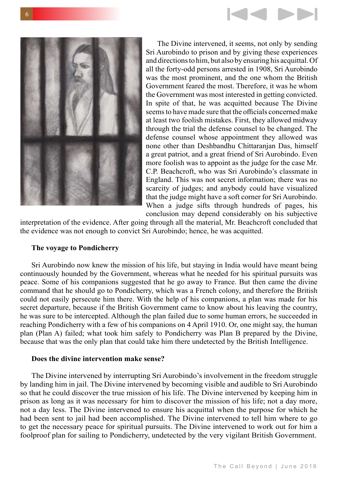



The Divine intervened, it seems, not only by sending Sri Aurobindo to prison and by giving these experiences and directions to him, but also by ensuring his acquittal. Of all the forty-odd persons arrested in 1908, Sri Aurobindo was the most prominent, and the one whom the British Government feared the most. Therefore, it was he whom the Government was most interested in getting convicted. In spite of that, he was acquitted because The Divine seems to have made sure that the officials concerned make at least two foolish mistakes. First, they allowed midway through the trial the defense counsel to be changed. The defense counsel whose appointment they allowed was none other than Deshbandhu Chittaranjan Das, himself a great patriot, and a great friend of Sri Aurobindo. Even more foolish was to appoint as the judge for the case Mr. C.P. Beachcroft, who was Sri Aurobindo's classmate in England. This was not secret information; there was no scarcity of judges; and anybody could have visualized that the judge might have a soft corner for Sri Aurobindo. When a judge sifts through hundreds of pages, his conclusion may depend considerably on his subjective

interpretation of the evidence. After going through all the material, Mr. Beachcroft concluded that the evidence was not enough to convict Sri Aurobindo; hence, he was acquitted.

#### **The voyage to Pondicherry**

Sri Aurobindo now knew the mission of his life, but staying in India would have meant being continuously hounded by the Government, whereas what he needed for his spiritual pursuits was peace. Some of his companions suggested that he go away to France. But then came the divine command that he should go to Pondicherry, which was a French colony, and therefore the British could not easily persecute him there. With the help of his companions, a plan was made for his secret departure, because if the British Government came to know about his leaving the country, he was sure to be intercepted. Although the plan failed due to some human errors, he succeeded in reaching Pondicherry with a few of his companions on 4 April 1910. Or, one might say, the human plan (Plan A) failed; what took him safely to Pondicherry was Plan B prepared by the Divine, because that was the only plan that could take him there undetected by the British Intelligence.

#### **Does the divine intervention make sense?**

The Divine intervened by interrupting Sri Aurobindo's involvement in the freedom struggle by landing him in jail. The Divine intervened by becoming visible and audible to Sri Aurobindo so that he could discover the true mission of his life. The Divine intervened by keeping him in prison as long as it was necessary for him to discover the mission of his life; not a day more, not a day less. The Divine intervened to ensure his acquittal when the purpose for which he had been sent to jail had been accomplished. The Divine intervened to tell him where to go to get the necessary peace for spiritual pursuits. The Divine intervened to work out for him a foolproof plan for sailing to Pondicherry, undetected by the very vigilant British Government.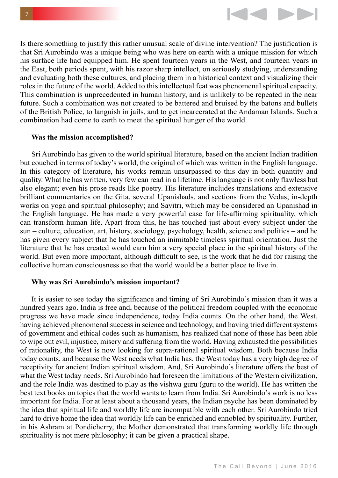

Is there something to justify this rather unusual scale of divine intervention? The justification is that Sri Aurobindo was a unique being who was here on earth with a unique mission for which his surface life had equipped him. He spent fourteen years in the West, and fourteen years in the East, both periods spent, with his razor sharp intellect, on seriously studying, understanding and evaluating both these cultures, and placing them in a historical context and visualizing their roles in the future of the world. Added to this intellectual feat was phenomenal spiritual capacity. This combination is unprecedented in human history, and is unlikely to be repeated in the near future. Such a combination was not created to be battered and bruised by the batons and bullets of the British Police, to languish in jails, and to get incarcerated at the Andaman Islands. Such a combination had come to earth to meet the spiritual hunger of the world.

#### **Was the mission accomplished?**

Sri Aurobindo has given to the world spiritual literature, based on the ancient Indian tradition but couched in terms of today's world, the original of which was written in the English language. In this category of literature, his works remain unsurpassed to this day in both quantity and quality. What he has written, very few can read in a lifetime. His language is not only flawless but also elegant; even his prose reads like poetry. His literature includes translations and extensive brilliant commentaries on the Gita, several Upanishads, and sections from the Vedas; in-depth works on yoga and spiritual philosophy; and Savitri, which may be considered an Upanishad in the English language. He has made a very powerful case for life-affirming spirituality, which can transform human life. Apart from this, he has touched just about every subject under the sun – culture, education, art, history, sociology, psychology, health, science and politics – and he has given every subject that he has touched an inimitable timeless spiritual orientation. Just the literature that he has created would earn him a very special place in the spiritual history of the world. But even more important, although difficult to see, is the work that he did for raising the collective human consciousness so that the world would be a better place to live in.

#### **Why was Sri Aurobindo's mission important?**

It is easier to see today the significance and timing of Sri Aurobindo's mission than it was a hundred years ago. India is free and, because of the political freedom coupled with the economic progress we have made since independence, today India counts. On the other hand, the West, having achieved phenomenal success in science and technology, and having tried different systems of government and ethical codes such as humanism, has realized that none of these has been able to wipe out evil, injustice, misery and suffering from the world. Having exhausted the possibilities of rationality, the West is now looking for supra-rational spiritual wisdom. Both because India today counts, and because the West needs what India has, the West today has a very high degree of receptivity for ancient Indian spiritual wisdom. And, Sri Aurobindo's literature offers the best of what the West today needs. Sri Aurobindo had foreseen the limitations of the Western civilization, and the role India was destined to play as the vishwa guru (guru to the world). He has written the best text books on topics that the world wants to learn from India. Sri Aurobindo's work is no less important for India. For at least about a thousand years, the Indian psyche has been dominated by the idea that spiritual life and worldly life are incompatible with each other. Sri Aurobindo tried hard to drive home the idea that worldly life can be enriched and ennobled by spirituality. Further, in his Ashram at Pondicherry, the Mother demonstrated that transforming worldly life through spirituality is not mere philosophy; it can be given a practical shape.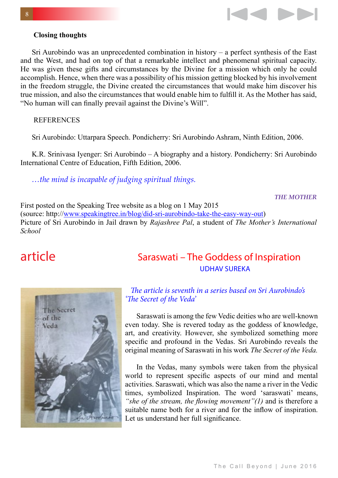

#### <span id="page-7-0"></span>**Closing thoughts**

Sri Aurobindo was an unprecedented combination in history – a perfect synthesis of the East and the West, and had on top of that a remarkable intellect and phenomenal spiritual capacity. He was given these gifts and circumstances by the Divine for a mission which only he could accomplish. Hence, when there was a possibility of his mission getting blocked by his involvement in the freedom struggle, the Divine created the circumstances that would make him discover his true mission, and also the circumstances that would enable him to fulfill it. As the Mother has said, "No human will can finally prevail against the Divine's Will".

#### REFERENCES

Sri Aurobindo: Uttarpara Speech. Pondicherry: Sri Aurobindo Ashram, Ninth Edition, 2006.

K.R. Srinivasa Iyenger: Sri Aurobindo – A biography and a history. Pondicherry: Sri Aurobindo International Centre of Education, Fifth Edition, 2006.

*…the mind is incapable of judging spiritual things.*

#### *THE MOTHER*

First posted on the Speaking Tree website as a blog on 1 May 2015 (source: http:/[/www.speakingtree.in/blog/did-sri-aurobindo-take-the-easy-way-out\)](www.speakingtree.in/blog/did-sri-aurobindo-take-the-easy-way-out) Picture of Sri Aurobindo in Jail drawn by *Rajashree Pal*, a student of *The Mother's International School*

## article



## Saraswati – The Goddess of Inspiration UDHAV SUREKA

### *The article is seventh in a series based on Sri Aurobindo's 'The Secret of the Veda'*

Saraswati is among the few Vedic deities who are well-known even today. She is revered today as the goddess of knowledge, art, and creativity. However, she symbolized something more specific and profound in the Vedas. Sri Aurobindo reveals the original meaning of Saraswati in his work *The Secret of the Veda.*

In the Vedas, many symbols were taken from the physical world to represent specific aspects of our mind and mental activities. Saraswati, which was also the name a river in the Vedic times, symbolized Inspiration. The word 'saraswati' means, *"she of the stream, the flowing movement"(1)* and is therefore a suitable name both for a river and for the inflow of inspiration. Let us understand her full significance.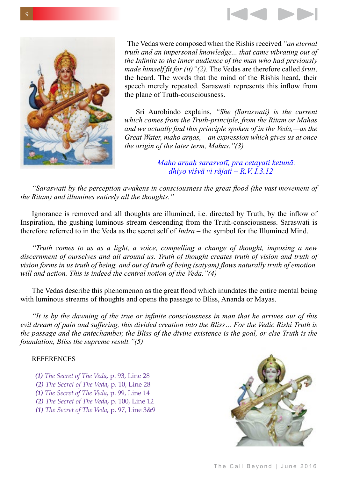



 The Vedas were composed when the Rishis received *"an eternal truth and an impersonal knowledge... that came vibrating out of the Infinite to the inner audience of the man who had previously made himself fit for (it)"(2).* The Vedas are therefore called *śruti*, the heard. The words that the mind of the Rishis heard, their speech merely repeated. Saraswati represents this inflow from the plane of Truth-consciousness.

Sri Aurobindo explains, *"She (Saraswati) is the current which comes from the Truth-principle, from the Ritam or Mahas and we actually find this principle spoken of in the Veda,—as the Great Water, maho arṇas,—an expression which gives us at once the origin of the later term, Mahas."(3)*

> *Maho arṇaḥ sarasvatī, pra cetayati ketunā: dhiyo viśvā vi rājati – R.V. I.3.12*

*"Saraswati by the perception awakens in consciousness the great flood (the vast movement of the Ritam) and illumines entirely all the thoughts."*

Ignorance is removed and all thoughts are illumined, i.e. directed by Truth, by the inflow of Inspiration, the gushing luminous stream descending from the Truth-consciousness. Saraswati is therefore referred to in the Veda as the secret self of *Indra* – the symbol for the Illumined Mind.

*"Truth comes to us as a light, a voice, compelling a change of thought, imposing a new discernment of ourselves and all around us. Truth of thought creates truth of vision and truth of vision forms in us truth of being, and out of truth of being (satyam) flows naturally truth of emotion, will and action. This is indeed the central notion of the Veda."(4)*

The Vedas describe this phenomenon as the great flood which inundates the entire mental being with luminous streams of thoughts and opens the passage to Bliss, Ananda or Mayas.

*"It is by the dawning of the true or infinite consciousness in man that he arrives out of this evil dream of pain and suffering, this divided creation into the Bliss… For the Vedic Rishi Truth is the passage and the antechamber, the Bliss of the divine existence is the goal, or else Truth is the foundation, Bliss the supreme result."(5)*

#### **REFERENCES**

- *(1) The Secret of The Veda,* p. 93, Line 28
- *(2) The Secret of The Veda,* p. 10, Line 28
- *(1) The Secret of The Veda,* p. 99, Line 14
- *(2) The Secret of The Veda,* p. 100, Line 12
- *(1) The Secret of The Veda,* p. 97, Line 3&9



9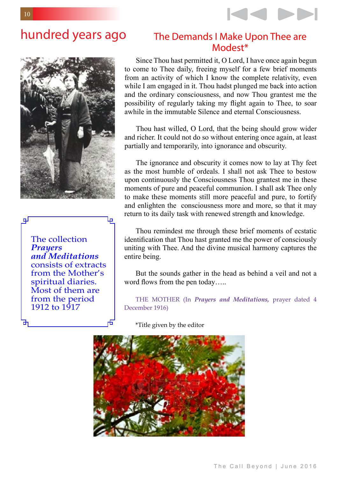## <span id="page-9-0"></span>hundred years ago



The collection *Prayers and Meditations*  consists of extracts from the Mother's spiritual diaries. Most of them are from the period 1912 to 1917

Ъ

## The Demands I Make Upon Thee are Modest\*

Since Thou hast permitted it, O Lord, I have once again begun to come to Thee daily, freeing myself for a few brief moments from an activity of which I know the complete relativity, even while I am engaged in it. Thou hadst plunged me back into action and the ordinary consciousness, and now Thou grantest me the possibility of regularly taking my flight again to Thee, to soar awhile in the immutable Silence and eternal Consciousness.

Thou hast willed, O Lord, that the being should grow wider and richer. It could not do so without entering once again, at least partially and temporarily, into ignorance and obscurity.

The ignorance and obscurity it comes now to lay at Thy feet as the most humble of ordeals. I shall not ask Thee to bestow upon continuously the Consciousness Thou grantest me in these moments of pure and peaceful communion. I shall ask Thee only to make these moments still more peaceful and pure, to fortify and enlighten the consciousness more and more, so that it may return to its daily task with renewed strength and knowledge.

Thou remindest me through these brief moments of ecstatic identification that Thou hast granted me the power of consciously uniting with Thee. And the divine musical harmony captures the entire being.

But the sounds gather in the head as behind a veil and not a word flows from the pen today…..

THE MOTHER (In *Prayers and Meditations,* prayer dated 4 December 1916)

\*Title given by the editor



பு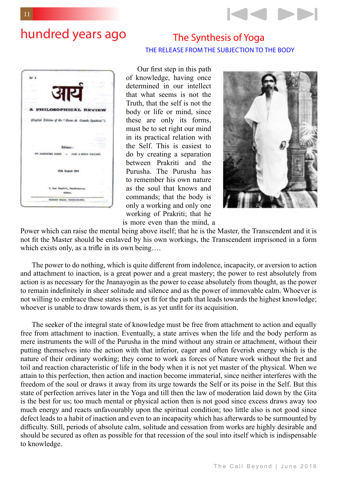# **44 D**

## <span id="page-10-0"></span>hundred years ago The Synthesis of Yoga THE RELEASE FROM THE SUBJECTION TO THE BODY



Our first step in this path of knowledge, having once determined in our intellect that what seems is not the Truth, that the self is not the body or life or mind, since these are only its forms, must be to set right our mind in its practical relation with the Self. This is easiest to do by creating a separation between Prakriti and the Purusha. The Purusha has to remember his own nature as the soul that knows and commands; that the body is only a working and only one working of Prakriti; that he is more even than the mind, a



Power which can raise the mental being above itself; that he is the Master, the Transcendent and it is not fit the Master should be enslaved by his own workings, the Transcendent imprisoned in a form which exists only, as a trifle in its own being....

The power to do nothing, which is quite different from indolence, incapacity, or aversion to action and attachment to inaction, is a great power and a great mastery; the power to rest absolutely from action is as necessary for the Jnanayogin as the power to cease absolutely from thought, as the power to remain indefinitely in sheer solitude and silence and as the power of immovable calm. Whoever is not willing to embrace these states is not yet fit for the path that leads towards the highest knowledge; whoever is unable to draw towards them, is as yet unfit for its acquisition.

The seeker of the integral state of knowledge must be free from attachment to action and equally free from attachment to inaction. Eventually, a state arrives when the life and the body perform as mere instruments the will of the Purusha in the mind without any strain or attachment, without their putting themselves into the action with that inferior, eager and often feverish energy which is the nature of their ordinary working; they come to work as forces of Nature work without the fret and toil and reaction characteristic of life in the body when it is not yet master of the physical. When we attain to this perfection, then action and inaction become immaterial, since neither interferes with the freedom of the soul or draws it away from its urge towards the Self or its poise in the Self. But this state of perfection arrives later in the Yoga and till then the law of moderation laid down by the Gita is the best for us; too much mental or physical action then is not good since excess draws away too much energy and reacts unfavourably upon the spiritual condition; too little also is not good since defect leads to a habit of inaction and even to an incapacity which has afterwards to be surmounted by difficulty. Still, periods of absolute calm, solitude and cessation from works are highly desirable and should be secured as often as possible for that recession of the soul into itself which is indispensable to knowledge.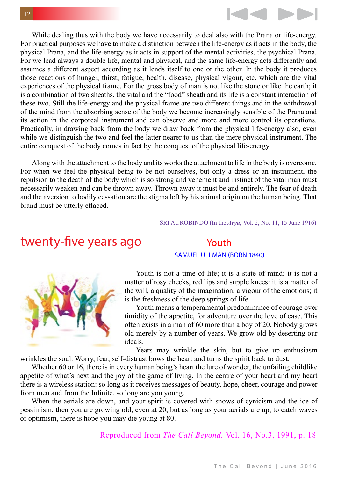

While dealing thus with the body we have necessarily to deal also with the Prana or life-energy. For practical purposes we have to make a distinction between the life-energy as it acts in the body, the physical Prana, and the life-energy as it acts in support of the mental activities, the psychical Prana. For we lead always a double life, mental and physical, and the same life-energy acts differently and assumes a different aspect according as it lends itself to one or the other. In the body it produces those reactions of hunger, thirst, fatigue, health, disease, physical vigour, etc. which are the vital experiences of the physical frame. For the gross body of man is not like the stone or like the earth; it is a combination of two sheaths, the vital and the "food" sheath and its life is a constant interaction of these two. Still the life-energy and the physical frame are two different things and in the withdrawal of the mind from the absorbing sense of the body we become increasingly sensible of the Prana and its action in the corporeal instrument and can observe and more and more control its operations. Practically, in drawing back from the body we draw back from the physical life-energy also, even while we distinguish the two and feel the latter nearer to us than the mere physical instrument. The entire conquest of the body comes in fact by the conquest of the physical life-energy.

Along with the attachment to the body and its works the attachment to life in the body is overcome. For when we feel the physical being to be not ourselves, but only a dress or an instrument, the repulsion to the death of the body which is so strong and vehement and instinct of the vital man must necessarily weaken and can be thrown away. Thrown away it must be and entirely. The fear of death and the aversion to bodily cessation are the stigma left by his animal origin on the human being. That brand must be utterly effaced.

SRI AUROBINDO (In the *Arya,* Vol. 2, No. 11, 15 June 1916)

## twenty-five years ago vouth

#### SAMUEL ULLMAN (BORN 1840)

Youth is not a time of life; it is a state of mind; it is not a matter of rosy cheeks, red lips and supple knees: it is a matter of the will, a quality of the imagination, a vigour of the emotions; it is the freshness of the deep springs of life.

Youth means a temperamental predominance of courage over timidity of the appetite, for adventure over the love of ease. This often exists in a man of 60 more than a boy of 20. Nobody grows old merely by a number of years. We grow old by deserting our ideals.

Years may wrinkle the skin, but to give up enthusiasm wrinkles the soul. Worry, fear, self-distrust bows the heart and turns the spirit back to dust.

Whether 60 or 16, there is in every human being's heart the lure of wonder, the unfailing childlike appetite of what's next and the joy of the game of living. In the centre of your heart and my heart there is a wireless station: so long as it receives messages of beauty, hope, cheer, courage and power from men and from the Infinite, so long are you young.

When the aerials are down, and your spirit is covered with snows of cynicism and the ice of pessimism, then you are growing old, even at 20, but as long as your aerials are up, to catch waves of optimism, there is hope you may die young at 80.

Reproduced from *The Call Beyond,* Vol. 16, No.3, 1991, p. 18



<span id="page-11-0"></span>12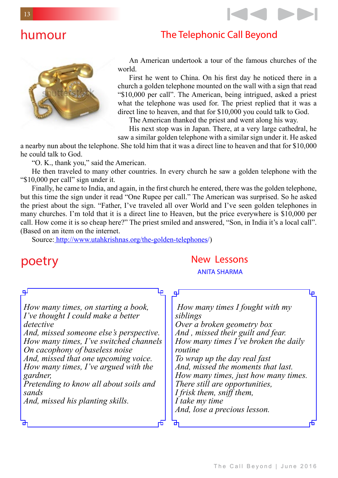# **SPECTABLE**

## <span id="page-12-0"></span>humour The Telephonic Call Beyond



An American undertook a tour of the famous churches of the world.

First he went to China. On his first day he noticed there in a church a golden telephone mounted on the wall with a sign that read "\$10,000 per call". The American, being intrigued, asked a priest what the telephone was used for. The priest replied that it was a direct line to heaven, and that for \$10,000 you could talk to God.

The American thanked the priest and went along his way.

His next stop was in Japan. There, at a very large cathedral, he saw a similar golden telephone with a similar sign under it. He asked

a nearby nun about the telephone. She told him that it was a direct line to heaven and that for \$10,000 he could talk to God.

"O. K., thank you," said the American.

He then traveled to many other countries. In every church he saw a golden telephone with the "\$10,000 per call" sign under it.

Finally, he came to India, and again, in the first church he entered, there was the golden telephone, but this time the sign under it read "One Rupee per call." The American was surprised. So he asked the priest about the sign. "Father, I've traveled all over World and I've seen golden telephones in many churches. I'm told that it is a direct line to Heaven, but the price everywhere is \$10,000 per call. How come it is so cheap here?" The priest smiled and answered, "Son, in India it's a local call". (Based on an item on the internet.

Source: [http://www.utahkrishnas.org/the-golden-telephones/](http://www.utahkrishnas.org/the-golden-telephones))

poetry **New Lessons** 

### ANITA SHARMA

| How many times, on starting a book,<br>I've thought I could make a better<br>detective<br>And, missed someone else's perspective.<br>How many times, I've switched channels<br>On cacophony of baseless noise<br>And, missed that one upcoming voice.<br>How many times, I've argued with the<br>gardner,<br>Pretending to know all about soils and<br>sands<br>And, missed his planting skills. | How many times I fought with $my$<br>siblings<br>Over a broken geometry box<br>And, missed their guilt and fear.<br>How many times I've broken the daily<br>routine<br>To wrap up the day real fast<br>And, missed the moments that last.<br>How many times, just how many times.<br>There still are opportunities,<br>I frisk them, sniff them,<br>I take my time<br>And, lose a precious lesson. |
|--------------------------------------------------------------------------------------------------------------------------------------------------------------------------------------------------------------------------------------------------------------------------------------------------------------------------------------------------------------------------------------------------|----------------------------------------------------------------------------------------------------------------------------------------------------------------------------------------------------------------------------------------------------------------------------------------------------------------------------------------------------------------------------------------------------|
|                                                                                                                                                                                                                                                                                                                                                                                                  |                                                                                                                                                                                                                                                                                                                                                                                                    |